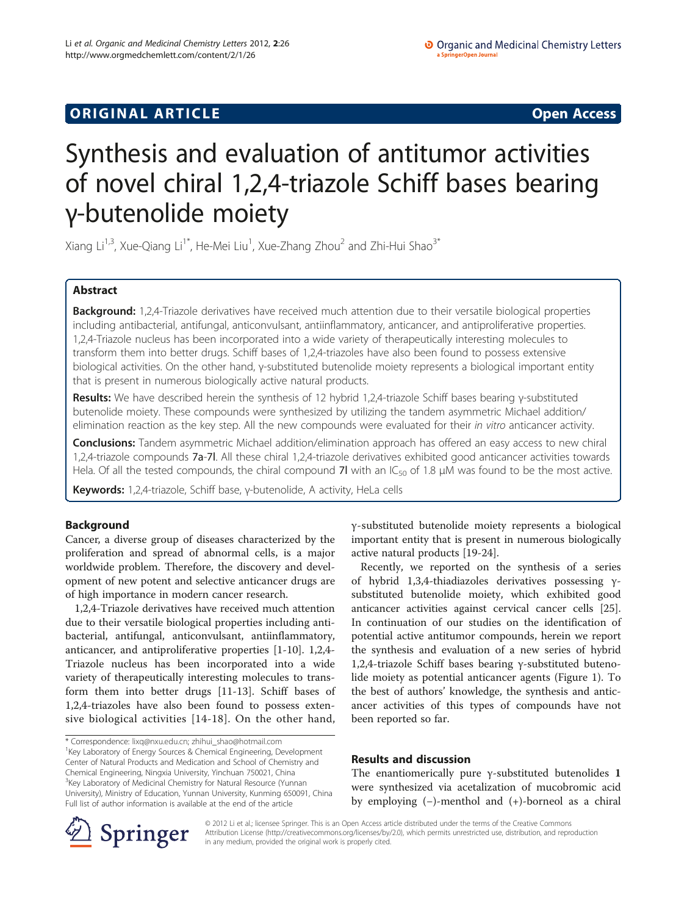# **ORIGINAL ARTICLE CONSERVANCE IN A LOCAL CONSERVANCE IN A LOCAL CONSERVANCE IN A LOCAL CONSERVANCE IN A LOCAL CONSERVANCE IN A LOCAL CONSERVANCE IN A LOCAL CONSERVANCE IN A LOCAL CONSERVANCE IN A LOCAL CONSERVANCE IN A L**

# Synthesis and evaluation of antitumor activities of novel chiral 1,2,4-triazole Schiff bases bearing γ-butenolide moiety

Xiang Li<sup>1,3</sup>, Xue-Qiang Li<sup>1\*</sup>, He-Mei Liu<sup>1</sup>, Xue-Zhang Zhou<sup>2</sup> and Zhi-Hui Shao<sup>3\*</sup>

# Abstract

Background: 1,2,4-Triazole derivatives have received much attention due to their versatile biological properties including antibacterial, antifungal, anticonvulsant, antiinflammatory, anticancer, and antiproliferative properties. 1,2,4-Triazole nucleus has been incorporated into a wide variety of therapeutically interesting molecules to transform them into better drugs. Schiff bases of 1,2,4-triazoles have also been found to possess extensive biological activities. On the other hand, γ-substituted butenolide moiety represents a biological important entity that is present in numerous biologically active natural products.

Results: We have described herein the synthesis of 12 hybrid 1,2,4-triazole Schiff bases bearing y-substituted butenolide moiety. These compounds were synthesized by utilizing the tandem asymmetric Michael addition/ elimination reaction as the key step. All the new compounds were evaluated for their in vitro anticancer activity.

**Conclusions:** Tandem asymmetric Michael addition/elimination approach has offered an easy access to new chiral 1,2,4-triazole compounds 7a-7l. All these chiral 1,2,4-triazole derivatives exhibited good anticancer activities towards Hela. Of all the tested compounds, the chiral compound 7l with an  $IC_{50}$  of 1.8 µM was found to be the most active.

Keywords: 1,2,4-triazole, Schiff base, γ-butenolide, A activity, HeLa cells

# Background

Cancer, a diverse group of diseases characterized by the proliferation and spread of abnormal cells, is a major worldwide problem. Therefore, the discovery and development of new potent and selective anticancer drugs are of high importance in modern cancer research.

1,2,4-Triazole derivatives have received much attention due to their versatile biological properties including antibacterial, antifungal, anticonvulsant, antiinflammatory, anticancer, and antiproliferative properties [\[1](#page-4-0)-[10\]](#page-4-0). 1,2,4- Triazole nucleus has been incorporated into a wide variety of therapeutically interesting molecules to transform them into better drugs [\[11-13](#page-4-0)]. Schiff bases of 1,2,4-triazoles have also been found to possess extensive biological activities [\[14-18](#page-4-0)]. On the other hand,

\* Correspondence: [lixq@nxu.edu.cn;](mailto:lixq@nxu.edu.cn) [zhihui\\_shao@hotmail.com](mailto:zhihui_shao@hotmail.com) <sup>1</sup> <sup>1</sup> Key Laboratory of Energy Sources & Chemical Engineering, Development Center of Natural Products and Medication and School of Chemistry and Chemical Engineering, Ningxia University, Yinchuan 750021, China <sup>3</sup>Key Laboratory of Medicinal Chemistry for Natural Resource (Yunnan University), Ministry of Education, Yunnan University, Kunming 650091, China Full list of author information is available at the end of the article

γ-substituted butenolide moiety represents a biological important entity that is present in numerous biologically active natural products [\[19](#page-4-0)-[24](#page-4-0)].

Recently, we reported on the synthesis of a series of hybrid 1,3,4-thiadiazoles derivatives possessing γsubstituted butenolide moiety, which exhibited good anticancer activities against cervical cancer cells [\[25](#page-4-0)]. In continuation of our studies on the identification of potential active antitumor compounds, herein we report the synthesis and evaluation of a new series of hybrid 1,2,4-triazole Schiff bases bearing γ-substituted butenolide moiety as potential anticancer agents (Figure [1](#page-1-0)). To the best of authors' knowledge, the synthesis and anticancer activities of this types of compounds have not been reported so far.

# Results and discussion

The enantiomerically pure γ-substituted butenolides 1 were synthesized via acetalization of mucobromic acid by employing (−)-menthol and (+)-borneol as a chiral



© 2012 Li et al.; licensee Springer. This is an Open Access article distributed under the terms of the Creative Commons Attribution License [\(http://creativecommons.org/licenses/by/2.0\)](http://creativecommons.org/licenses/by/2.0), which permits unrestricted use, distribution, and reproduction in any medium, provided the original work is properly cited.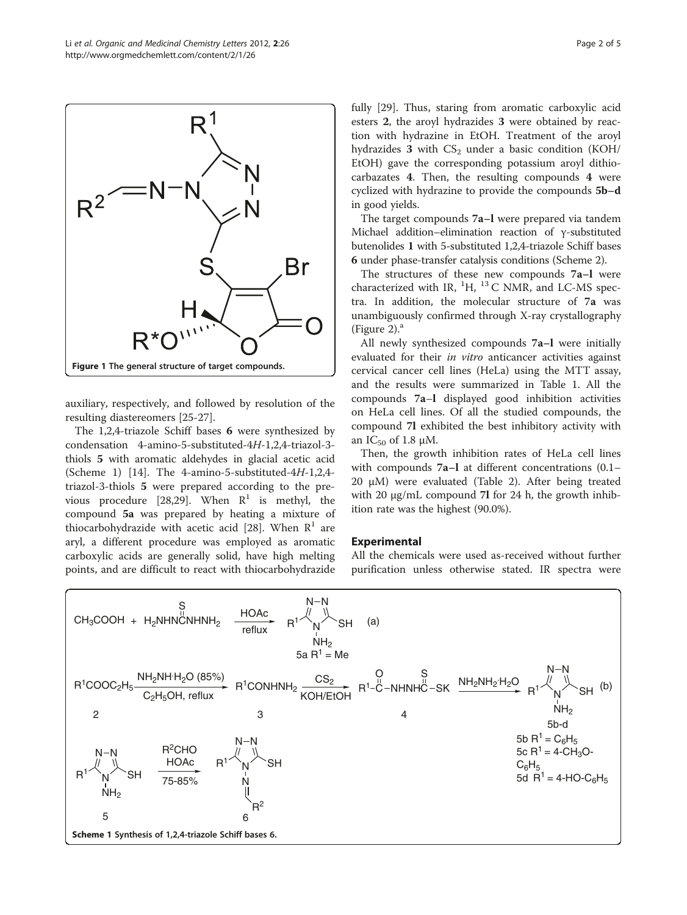<span id="page-1-0"></span>

auxiliary, respectively, and followed by resolution of the resulting diastereomers [\[25-27](#page-4-0)].

The 1,2,4-triazole Schiff bases 6 were synthesized by condensation 4-amino-5-substituted-4H-1,2,4-triazol-3 thiols 5 with aromatic aldehydes in glacial acetic acid (Scheme 1) [[14](#page-4-0)]. The 4-amino-5-substituted-4H-1,2,4 triazol-3-thiols 5 were prepared according to the pre-vious procedure [[28,29\]](#page-4-0). When  $R^1$  is methyl, the compound 5a was prepared by heating a mixture of thiocarbohydrazide with acetic acid [\[28](#page-4-0)]. When  $R<sup>1</sup>$  are aryl, a different procedure was employed as aromatic carboxylic acids are generally solid, have high melting points, and are difficult to react with thiocarbohydrazide fully [\[29](#page-4-0)]. Thus, staring from aromatic carboxylic acid esters 2, the aroyl hydrazides 3 were obtained by reaction with hydrazine in EtOH. Treatment of the aroyl hydrazides  $3$  with  $CS_2$  under a basic condition (KOH/ EtOH) gave the corresponding potassium aroyl dithiocarbazates 4. Then, the resulting compounds 4 were cyclized with hydrazine to provide the compounds 5b–d in good yields.

The target compounds 7a–l were prepared via tandem Michael addition–elimination reaction of γ-substituted butenolides 1 with 5-substituted 1,2,4-triazole Schiff bases 6 under phase-transfer catalysis conditions (Scheme [2](#page-2-0)).

The structures of these new compounds 7a–l were characterized with IR,  ${}^{1}H$ ,  ${}^{13}C$  NMR, and LC-MS spectra. In addition, the molecular structure of 7a was unambiguously confirmed through X-ray crystallography (Figure [2\)](#page-3-0). $^{\rm a}$ 

All newly synthesized compounds 7a–l were initially evaluated for their *in vitro* anticancer activities against cervical cancer cell lines (HeLa) using the MTT assay, and the results were summarized in Table [1.](#page-3-0) All the compounds 7a–l displayed good inhibition activities on HeLa cell lines. Of all the studied compounds, the compound 7l exhibited the best inhibitory activity with an  $IC_{50}$  of 1.8  $\mu$ M.

Then, the growth inhibition rates of HeLa cell lines with compounds 7a–l at different concentrations (0.1– 20 μM) were evaluated (Table [2](#page-3-0)). After being treated with 20 μg/mL compound 7l for 24 h, the growth inhibition rate was the highest (90.0%).

# Experimental

All the chemicals were used as-received without further purification unless otherwise stated. IR spectra were

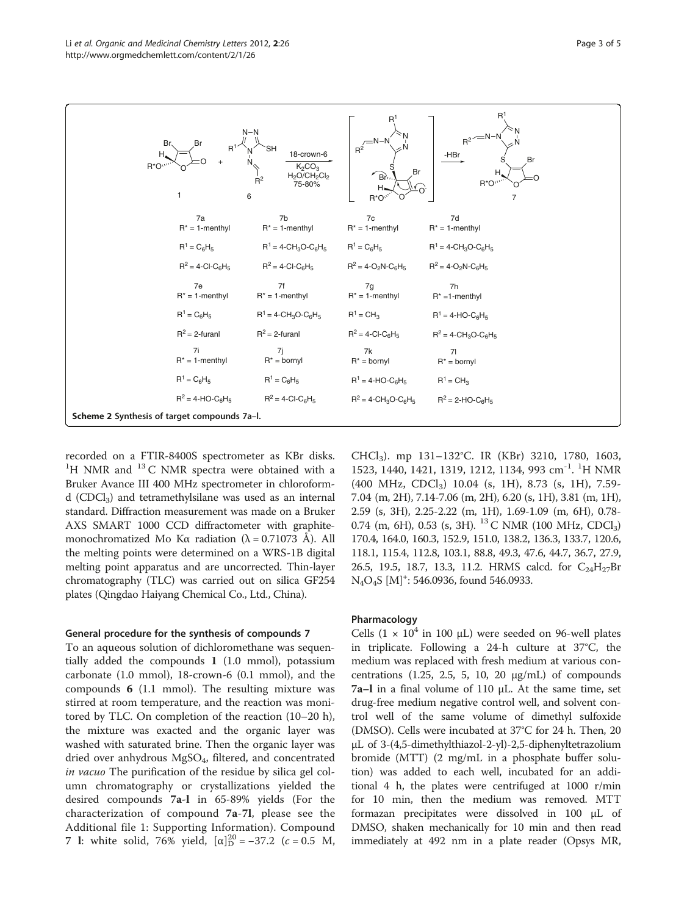<span id="page-2-0"></span>

| Br.<br>Н.<br>R*O <sup>***</sup>              | $N-N$<br>Br<br>$R^1$<br>$R^2$<br>6          | SН<br>18-crown-6<br>K <sub>2</sub> CO <sub>3</sub><br>$H2O/CH2Cl2$<br>75-80% | $+$ $R^2$ <sup>N-N</sup><br>Br<br>$\bigcap_{\mathbf{B}^n}$<br>Н.<br>$R^*O^*$ | R <sup>1</sup><br>$R^{2}$ <sup>-N-N</sup><br>-HBr<br>Br<br>$R^*O$<br>7 |
|----------------------------------------------|---------------------------------------------|------------------------------------------------------------------------------|------------------------------------------------------------------------------|------------------------------------------------------------------------|
|                                              | 7a<br>$R^* = 1$ -menthyl                    | 7b<br>$R^* = 1$ -menthyl                                                     | 7c<br>$R^* = 1$ -menthyl                                                     | 7d<br>$R^* = 1$ -menthyl                                               |
|                                              | $R^1 = C_6H_5$                              | $R^1 = 4 - CH_3O-C_6H_5$                                                     | $R^1 = C_6H_5$                                                               | $R^1 = 4 - CH_3O - C_6H_5$                                             |
|                                              | $R^2 = 4$ -CI-C <sub>6</sub> H <sub>5</sub> | $R^2 = 4$ -CI-C <sub>6</sub> H <sub>5</sub>                                  | $R^2 = 4 - O_2N - C_6H_5$                                                    | $R^2 = 4 - O_2N - C_6H_5$                                              |
|                                              | 7e<br>$R^* = 1$ -menthyl                    | 7f<br>$R^* = 1$ -menthyl                                                     | 7g<br>$R^* = 1$ -menthyl                                                     | 7h<br>$R^* = 1$ -menthyl                                               |
|                                              | $R^1 = C_6H_5$                              | $R^1 = 4 - CH_3O - C_6H_5$                                                   | $R^1$ = CH <sub>3</sub>                                                      | $R^1 = 4-HO-C6H5$                                                      |
|                                              | $R^2 = 2$ -furanl                           | $R^2 = 2$ -furanl                                                            | $R^2 = 4$ -CI-C <sub>6</sub> H <sub>5</sub>                                  | $R^2 = 4 - CH_3O - C_6H_5$                                             |
|                                              | 7i<br>$R^* = 1$ -menthyl                    | 7j<br>$R^* =$ bornyl                                                         | 7k<br>$R^*$ = bornyl                                                         | 7 <sup>1</sup><br>$R^*$ = bornyl                                       |
|                                              | $R^1 = C_6H_5$                              | $R^1 = C_6H_5$                                                               | $R^1 = 4-HO-C_6H_5$                                                          | $R^1$ = CH <sub>3</sub>                                                |
|                                              | $R^2 = 4-HO-C_6H_5$                         | $R^2 = 4$ -Cl-C <sub>6</sub> H <sub>5</sub>                                  | $R^2 = 4 - CH_3O - C_6H_5$                                                   | $R^2 = 2-HO - C_6H_5$                                                  |
| Scheme 2 Synthesis of target compounds 7a-l. |                                             |                                                                              |                                                                              |                                                                        |

recorded on a FTIR-8400S spectrometer as KBr disks.  $1$ H NMR and  $13$  C NMR spectra were obtained with a Bruker Avance III 400 MHz spectrometer in chloroformd (CDCl3) and tetramethylsilane was used as an internal standard. Diffraction measurement was made on a Bruker AXS SMART 1000 CCD diffractometer with graphitemonochromatized Mo Kα radiation  $(\lambda = 0.71073 \text{ Å})$ . All the melting points were determined on a WRS-1B digital melting point apparatus and are uncorrected. Thin-layer chromatography (TLC) was carried out on silica GF254 plates (Qingdao Haiyang Chemical Co., Ltd., China).

## General procedure for the synthesis of compounds 7

To an aqueous solution of dichloromethane was sequentially added the compounds 1 (1.0 mmol), potassium carbonate (1.0 mmol), 18-crown-6 (0.1 mmol), and the compounds 6 (1.1 mmol). The resulting mixture was stirred at room temperature, and the reaction was monitored by TLC. On completion of the reaction (10–20 h), the mixture was exacted and the organic layer was washed with saturated brine. Then the organic layer was dried over anhydrous  $MgSO<sub>4</sub>$ , filtered, and concentrated in vacuo The purification of the residue by silica gel column chromatography or crystallizations yielded the desired compounds 7a-l in 65-89% yields (For the characterization of compound 7a-7l, please see the Additional file [1:](#page-3-0) Supporting Information). Compound 7 l: white solid, 76% yield,  $[\alpha]_{D}^{20} = -37.2$  (c = 0.5 M,

CHCl3). mp 131–132°C. IR (KBr) 3210, 1780, 1603, 1523, 1440, 1421, 1319, 1212, 1134, 993 cm<sup>-1</sup>. <sup>1</sup>H NMR (400 MHz, CDCl3) 10.04 (s, 1H), 8.73 (s, 1H), 7.59- 7.04 (m, 2H), 7.14-7.06 (m, 2H), 6.20 (s, 1H), 3.81 (m, 1H), 2.59 (s, 3H), 2.25-2.22 (m, 1H), 1.69-1.09 (m, 6H), 0.78- 0.74 (m, 6H), 0.53 (s, 3H). <sup>13</sup> C NMR (100 MHz, CDCl<sub>3</sub>) 170.4, 164.0, 160.3, 152.9, 151.0, 138.2, 136.3, 133.7, 120.6, 118.1, 115.4, 112.8, 103.1, 88.8, 49.3, 47.6, 44.7, 36.7, 27.9, 26.5, 19.5, 18.7, 13.3, 11.2. HRMS calcd. for  $C_{24}H_{27}Br$ N<sub>4</sub>O<sub>4</sub>S [M]<sup>+</sup>: 546.0936, found 546.0933.

## Pharmacology

Cells  $(1 \times 10^4$  in 100 µL) were seeded on 96-well plates in triplicate. Following a 24-h culture at 37°C, the medium was replaced with fresh medium at various concentrations  $(1.25, 2.5, 5, 10, 20 \mu g/mL)$  of compounds 7a–l in a final volume of 110 μL. At the same time, set drug-free medium negative control well, and solvent control well of the same volume of dimethyl sulfoxide (DMSO). Cells were incubated at 37°C for 24 h. Then, 20 μL of 3-(4,5-dimethylthiazol-2-yl)-2,5-diphenyltetrazolium bromide (MTT) (2 mg/mL in a phosphate buffer solution) was added to each well, incubated for an additional 4 h, the plates were centrifuged at 1000 r/min for 10 min, then the medium was removed. MTT formazan precipitates were dissolved in 100 μL of DMSO, shaken mechanically for 10 min and then read immediately at 492 nm in a plate reader (Opsys MR,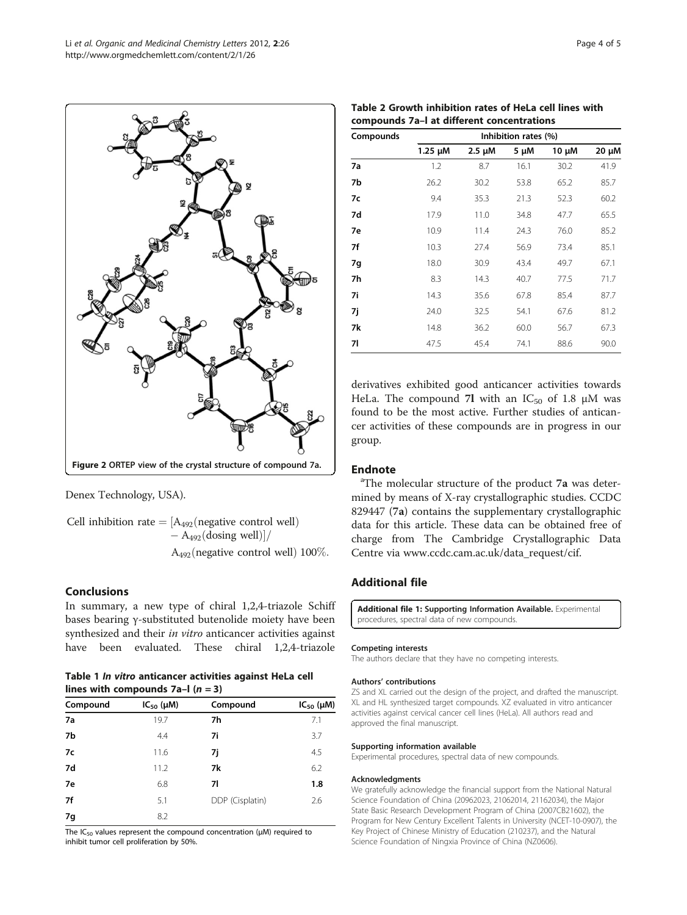<span id="page-3-0"></span>

Denex Technology, USA).

Cell inhibition rate  $=$  [A<sub>492</sub>(negative control well)  $-$  A<sub>492</sub>(dosing well)]/  $A_{492}$ (negative control well) 100%.

# Conclusions

In summary, a new type of chiral 1,2,4-triazole Schiff bases bearing γ-substituted butenolide moiety have been synthesized and their in vitro anticancer activities against have been evaluated. These chiral 1,2,4-triazole

|  | Table 1 In vitro anticancer activities against HeLa cell |  |  |
|--|----------------------------------------------------------|--|--|
|  | lines with compounds $7a-1$ ( $n = 3$ )                  |  |  |

| Compound | $IC_{50}$ ( $µM$ ) | Compound        | $IC_{50}$ ( $µM$ ) |
|----------|--------------------|-----------------|--------------------|
| 7a       | 19.7               | 7h              | 7.1                |
| 7b       | 4.4                | 7i              | 3.7                |
| 7с       | 11.6               | 7j              | 4.5                |
| 7d       | 11.2               | 7k              | 6.2                |
| 7e       | 6.8                | 71              | 1.8                |
| 7f       | 5.1                | DDP (Cisplatin) | 2.6                |
| 7g       | 8.2                |                 |                    |

The IC<sub>50</sub> values represent the compound concentration ( $\mu$ M) required to inhibit tumor cell proliferation by 50%.

|  | Table 2 Growth inhibition rates of HeLa cell lines with |  |  |  |
|--|---------------------------------------------------------|--|--|--|
|  | compounds 7a-I at different concentrations              |  |  |  |

| Compounds | Inhibition rates (%) |             |      |       |       |  |
|-----------|----------------------|-------------|------|-------|-------|--|
|           | $1.25 \mu M$         | $2.5 \mu M$ | 5 µM | 10 µM | 20 µM |  |
| 7a        | 1.2                  | 8.7         | 16.1 | 30.2  | 41.9  |  |
| 7b        | 26.2                 | 30.2        | 53.8 | 65.2  | 85.7  |  |
| 7с        | 9.4                  | 35.3        | 21.3 | 52.3  | 60.2  |  |
| 7d        | 17.9                 | 11.0        | 34.8 | 47.7  | 65.5  |  |
| 7e        | 10.9                 | 11.4        | 24.3 | 76.0  | 85.2  |  |
| 7f        | 10.3                 | 27.4        | 56.9 | 73.4  | 85.1  |  |
| 7g        | 18.0                 | 30.9        | 43.4 | 49.7  | 67.1  |  |
| 7h        | 8.3                  | 14.3        | 40.7 | 77.5  | 71.7  |  |
| 7i        | 14.3                 | 35.6        | 67.8 | 85.4  | 87.7  |  |
| 7j        | 24.0                 | 32.5        | 54.1 | 67.6  | 81.2  |  |
| 7k        | 14.8                 | 36.2        | 60.0 | 56.7  | 67.3  |  |
| 71        | 47.5                 | 45.4        | 74.1 | 88.6  | 90.0  |  |

derivatives exhibited good anticancer activities towards HeLa. The compound 7l with an  $IC_{50}$  of 1.8  $\mu$ M was found to be the most active. Further studies of anticancer activities of these compounds are in progress in our group.

## **Endnote**

<sup>a</sup>The molecular structure of the product 7a was determined by means of X-ray crystallographic studies. CCDC 829447 (7a) contains the supplementary crystallographic data for this article. These data can be obtained free of charge from The Cambridge Crystallographic Data Centre via [www.ccdc.cam.ac.uk/data\\_request/cif](http://www.ccdc.cam.ac.uk/data_request/cif).

# Additional file

[Additional file 1:](http://www.biomedcentral.com/content/supplementary/2191-2858-2-26-S1.doc) Supporting Information Available. Experimental procedures, spectral data of new compounds.

## Competing interests

The authors declare that they have no competing interests.

#### Authors' contributions

ZS and XL carried out the design of the project, and drafted the manuscript. XL and HL synthesized target compounds. XZ evaluated in vitro anticancer activities against cervical cancer cell lines (HeLa). All authors read and approved the final manuscript.

#### Supporting information available

Experimental procedures, spectral data of new compounds.

#### Acknowledgments

We gratefully acknowledge the financial support from the National Natural Science Foundation of China (20962023, 21062014, 21162034), the Major State Basic Research Development Program of China (2007CB21602), the Program for New Century Excellent Talents in University (NCET-10-0907), the Key Project of Chinese Ministry of Education (210237), and the Natural Science Foundation of Ningxia Province of China (NZ0606).